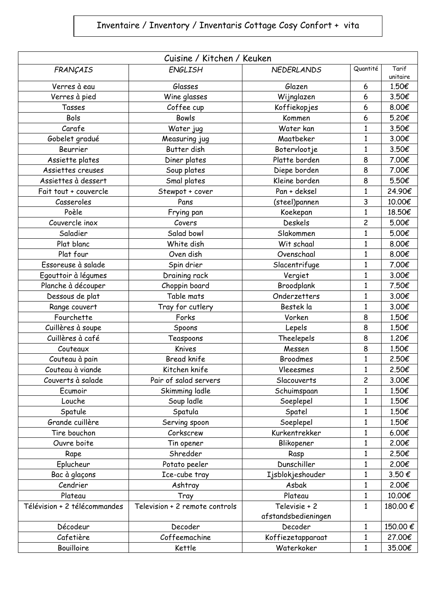## Inventaire / Inventory / Inventaris Cottage Cosy Confort + vita

| Cuisine / Kitchen / Keuken   |                                |                     |                |                   |  |  |
|------------------------------|--------------------------------|---------------------|----------------|-------------------|--|--|
| FRANÇAIS                     | <b>ENGLISH</b>                 | <b>NEDERLANDS</b>   | Quantité       | Tarif<br>unitaire |  |  |
| Verres à eau                 | Glasses                        | Glazen              | 6              | 1.50€             |  |  |
| Verres à pied                | Wine glasses                   | Wijnglazen          | 6              | 3.50€             |  |  |
| Tasses                       | Coffee cup                     | Koffiekopjes        | 6              | 8.00€             |  |  |
| Bols                         | <b>Bowls</b>                   | Kommen              | 6              | 5.20€             |  |  |
| Carafe                       | Water jug                      | Water kan           | 1              | 3.50€             |  |  |
| Gobelet gradué               | Measuring jug                  | Maatbeker           | $\mathbf{1}$   | 3.00€             |  |  |
| Beurrier                     | Butter dish                    | Botervlootje        | $\mathbf{1}$   | 3.50€             |  |  |
| Assiette plates              | Diner plates                   | Platte borden       | 8              | 7.00€             |  |  |
| Assiettes creuses            | Soup plates                    | Diepe borden        | 8              | 7.00€             |  |  |
| Assiettes à dessert          | Smal plates                    | Kleine borden       | 8              | 5.50€             |  |  |
| Fait tout + couvercle        | Stewpot + cover                | Pan + deksel        | $\mathbf{1}$   | 24.90€            |  |  |
| Casseroles                   | Pans                           | (steel)pannen       | 3              | 10.00€            |  |  |
| Poèle                        | Frying pan                     | Koekepan            | $\mathbf{1}$   | 18.50€            |  |  |
| Couvercle inox               | Covers                         | Deskels             | 2              | 5.00€             |  |  |
| Saladier                     | Salad bowl                     | Slakommen           | $\mathbf{1}$   | 5.00€             |  |  |
| Plat blanc                   | White dish                     | Wit schaal          | $\mathbf{1}$   | 8.00€             |  |  |
| Plat four                    | Oven dish                      | Ovenschaal          | $\mathbf{1}$   | 8.00€             |  |  |
| Essoreuse à salade           | Spin drier                     | Slacentrifuge       | $\mathbf{1}$   | 7.00€             |  |  |
| Egouttoir à légumes          | Draining rack                  | Vergiet             | $\mathbf{1}$   | 3.00€             |  |  |
| Planche à découper           | Choppin board                  | Broodplank          | $\mathbf{1}$   | 7.50€             |  |  |
| Dessous de plat              | Table mats                     | Onderzetters        | $\mathbf{1}$   | 3.00€             |  |  |
| Range couvert                | Tray for cutlery               | Bestek la           | $\mathbf{1}$   | 3.00€             |  |  |
| Fourchette                   | Forks                          | Vorken              | 8              | 1.50€             |  |  |
| Cuillères à soupe            | Spoons                         | Lepels              | 8              | 1.50€             |  |  |
| Cuillères à café             | Teaspoons                      | Theelepels          | 8              | 1.20€             |  |  |
| Couteaux                     | Knives                         | Messen              | 8              | 1.50€             |  |  |
| Couteau à pain               | <b>Bread knife</b>             | <b>Broodmes</b>     | $\mathbf{1}$   | 2.50€             |  |  |
| Couteau à viande             | Kitchen knife                  | Vleeesmes           | $\mathbf{1}$   | 2.50€             |  |  |
| Couverts à salade            | Pair of salad servers          | Slacouverts         | $\overline{c}$ | 3.00€             |  |  |
| Ecumoir                      | Skimming ladle                 | Schuimspaan         | 1              | 1.50€             |  |  |
| Louche                       | Soup ladle                     | Soeplepel           | $\mathbf{1}$   | 1.50€             |  |  |
| Spatule                      | Spatula                        | Spatel              | 1              | 1.50€             |  |  |
| Grande cuillère              | Serving spoon                  | Soeplepel           | $\mathbf{1}$   | 1.50€             |  |  |
| Tire bouchon                 | Corkscrew                      | Kurkentrekker       | $\mathbf{1}$   | 6.00€             |  |  |
| Ouvre boite                  | Tin opener                     | Blikopener          | 1              | 2.00€             |  |  |
| Rape                         | Shredder                       | Rasp                | $\mathbf{1}$   | 2.50€             |  |  |
| Eplucheur                    | Potato peeler                  | Dunschiller         | $\mathbf{1}$   | 2.00€             |  |  |
| Bac à glaçons                | Ice-cube tray                  | Ijsblokjeshouder    | $\mathbf{1}$   | 3.50€             |  |  |
| Cendrier                     | Ashtray                        | Asbak               | $\mathbf{1}$   | 2.00€             |  |  |
| Plateau                      | Tray                           | Plateau             | 1              | 10.00€            |  |  |
| Télévision + 2 télécommandes | Television + 2 remote controls | Televisie + 2       | $\mathbf{1}$   | 180.00€           |  |  |
|                              |                                | afstandsbedieningen |                |                   |  |  |
| Décodeur                     | Decoder                        | Decoder             | $\mathbf{1}$   | 150.00€           |  |  |
| Cafetière                    | Coffeemachine                  | Koffiezetapparaat   | $\mathbf{1}$   | 27.00€            |  |  |
| Bouilloire                   | Kettle                         | Waterkoker          | $\mathbf{1}$   | 35.00€            |  |  |